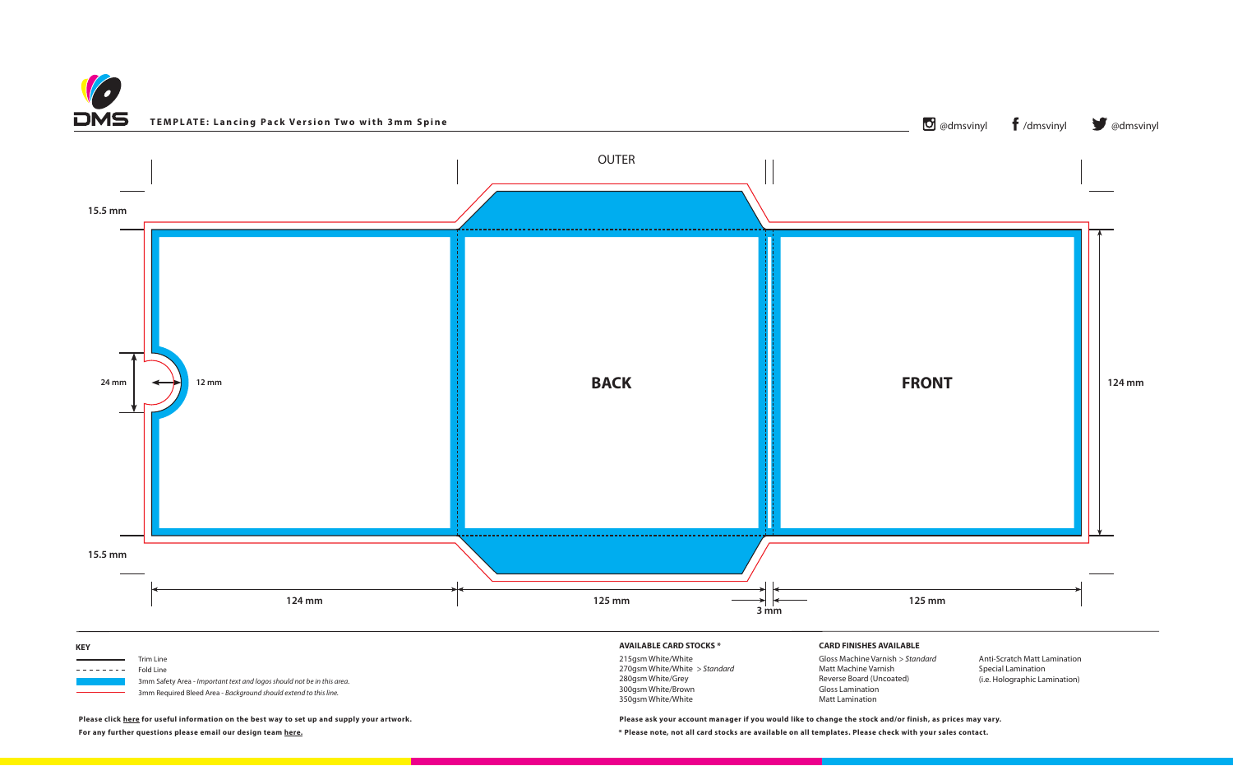



**Please click [here](https://www.discmanufacturingservices.com/cd/templates#artwork-specifications) for useful information on the best way to set up and supply your artwork.**

**For any further questions please email our design team [here.](mailto:graphics%40discmanufacturingservices.com?subject=Template%20Enquiry) \* Please note, not all card stocks are available on all templates. Please check with your sales contact.**

**Please ask your account manager if you would like to change the stock and/or finish, as prices may vary.**